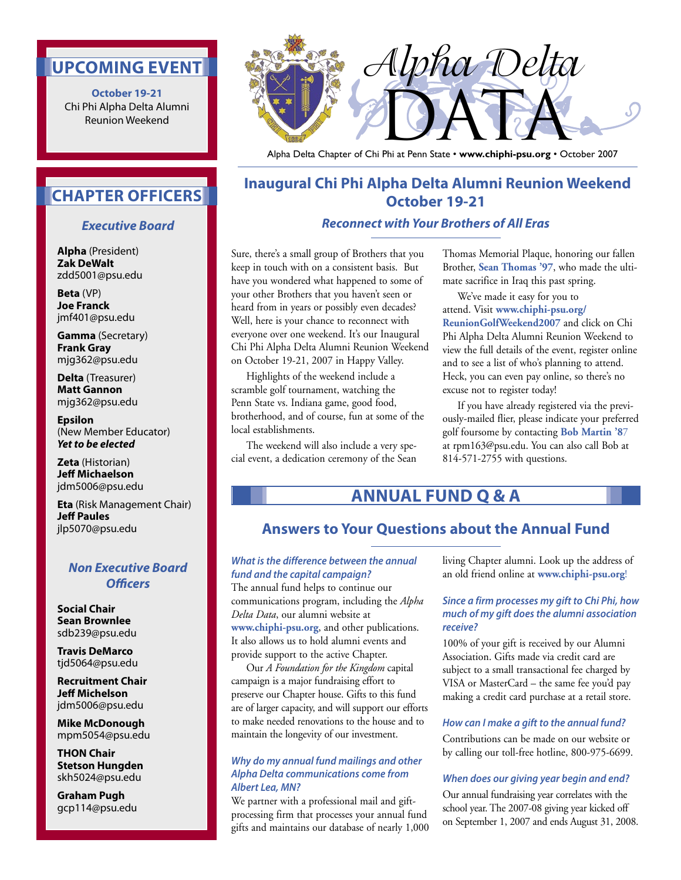## **UPCOMING EVENT**

**October 19-21** Chi Phi Alpha Delta Alumni Reunion Weekend



Alpha Delta Chapter of Chi Phi at Penn State • **www.chiphi-psu.org** • October 2007

## **Inaugural Chi Phi Alpha Delta Alumni Reunion Weekend October 19-21**

### **Reconnect with Your Brothers of All Eras**

Sure, there's a small group of Brothers that you keep in touch with on a consistent basis. But have you wondered what happened to some of your other Brothers that you haven't seen or heard from in years or possibly even decades? Well, here is your chance to reconnect with everyone over one weekend. It's our Inaugural Chi Phi Alpha Delta Alumni Reunion Weekend on October 19-21, 2007 in Happy Valley.

 Highlights of the weekend include a scramble golf tournament, watching the Penn State vs. Indiana game, good food, brotherhood, and of course, fun at some of the local establishments.

 The weekend will also include a very special event, a dedication ceremony of the Sean Thomas Memorial Plaque, honoring our fallen Brother, **Sean Thomas '97**, who made the ultimate sacrifice in Iraq this past spring.

 We've made it easy for you to attend. Visit **www.chiphi-psu.org/ ReunionGolfWeekend2007** and click on Chi Phi Alpha Delta Alumni Reunion Weekend to view the full details of the event, register online and to see a list of who's planning to attend. Heck, you can even pay online, so there's no excuse not to register today!

 If you have already registered via the previously-mailed flier, please indicate your preferred golf foursome by contacting **Bob Martin '8**7 at rpm163@psu.edu. You can also call Bob at 814-571-2755 with questions.

## **ANNUAL FUND Q & A**

### **Answers to Your Questions about the Annual Fund**

### **What is the difference between the annual fund and the capital campaign?**

The annual fund helps to continue our communications program, including the *Alpha Delta Data*, our alumni website at **www.chiphi-psu.org**, and other publications. It also allows us to hold alumni events and provide support to the active Chapter.

 Our *A Foundation for the Kingdom* capital campaign is a major fundraising effort to preserve our Chapter house. Gifts to this fund are of larger capacity, and will support our efforts to make needed renovations to the house and to maintain the longevity of our investment.

#### **Why do my annual fund mailings and other Alpha Delta communications come from Albert Lea, MN?**

We partner with a professional mail and giftprocessing firm that processes your annual fund gifts and maintains our database of nearly 1,000 living Chapter alumni. Look up the address of an old friend online at **www.chiphi-psu.org**!

### **Since a firm processes my gift to Chi Phi, how much of my gift does the alumni association receive?**

100% of your gift is received by our Alumni Association. Gifts made via credit card are subject to a small transactional fee charged by VISA or MasterCard – the same fee you'd pay making a credit card purchase at a retail store.

#### **How can I make a gift to the annual fund?**

Contributions can be made on our website or by calling our toll-free hotline, 800-975-6699.

#### **When does our giving year begin and end?**

Our annual fundraising year correlates with the school year. The 2007-08 giving year kicked off on September 1, 2007 and ends August 31, 2008.

## **CHAPTER OFFICERS**

### **Executive Board**

**Alpha** (President) **Zak DeWalt** zdd5001@psu.edu

**Beta** (VP) **Joe Franck** jmf401@psu.edu

**Gamma** (Secretary) **Frank Gray** mjg362@psu.edu

**Delta** (Treasurer) **Matt Gannon** mjg362@psu.edu

**Epsilon** (New Member Educator) **Yet to be elected**

**Zeta** (Historian) **Jeff Michaelson** jdm5006@psu.edu

**Eta** (Risk Management Chair) **Jeff Paules** jlp5070@psu.edu

### **Non Executive Board Officers**

**Social Chair Sean Brownlee** sdb239@psu.edu

**Travis DeMarco** tjd5064@psu.edu

**Recruitment Chair Jeff Michelson** jdm5006@psu.edu

**Mike McDonough** mpm5054@psu.edu

**THON Chair Stetson Hungden** skh5024@psu.edu

**Graham Pugh** gcp114@psu.edu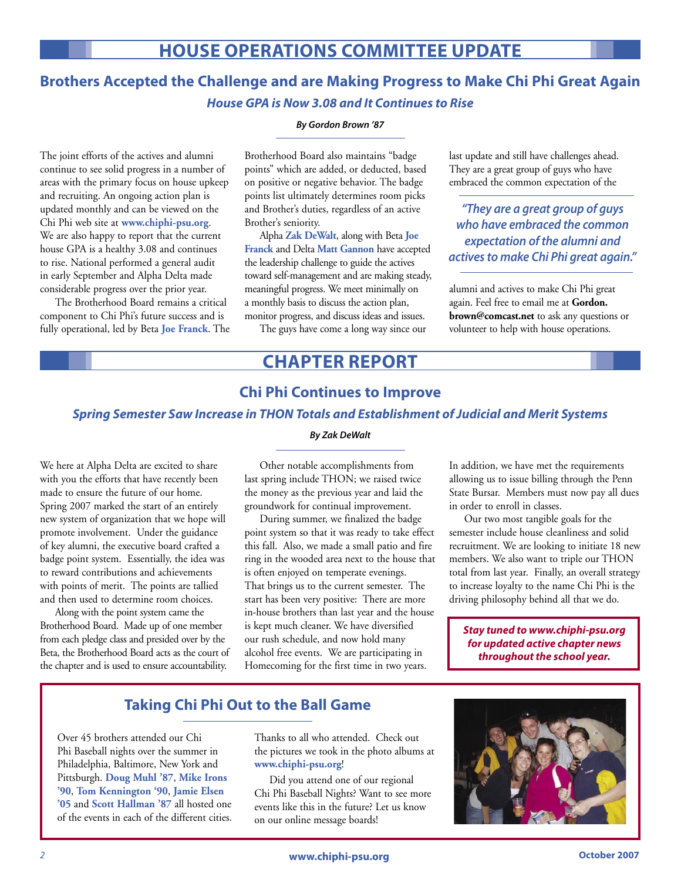## **HOUSE OPERATIONS COMMITTEE UPDATE**

## **Brothers Accepted the Challenge and are Making Progress to Make Chi Phi Great Again House GPA is Now 3.08 and It Continues to Rise**

#### **By Gordon Brown '87**

The joint efforts of the actives and alumni continue to see solid progress in a number of areas with the primary focus on house upkeep and recruiting. An ongoing action plan is updated monthly and can be viewed on the Chi Phi web site at **www.chiphi-psu.org**. We are also happy to report that the current house GPA is a healthy 3.08 and continues to rise. National performed a general audit in early September and Alpha Delta made considerable progress over the prior year.

 The Brotherhood Board remains a critical component to Chi Phi's future success and is fully operational, led by Beta **Joe Franck**. The

Brotherhood Board also maintains "badge points" which are added, or deducted, based on positive or negative behavior. The badge points list ultimately determines room picks and Brother's duties, regardless of an active Brother's seniority.

 Alpha **Zak DeWalt**, along with Beta **Joe Franck** and Delta **Matt Gannon** have accepted the leadership challenge to guide the actives toward self-management and are making steady, meaningful progress. We meet minimally on a monthly basis to discuss the action plan, monitor progress, and discuss ideas and issues.

The guys have come a long way since our

last update and still have challenges ahead. They are a great group of guys who have embraced the common expectation of the

**"They are a great group of guys who have embraced the common expectation of the alumni and actives to make Chi Phi great again."**

alumni and actives to make Chi Phi great again. Feel free to email me at **Gordon. brown@comcast.net** to ask any questions or volunteer to help with house operations.

## **CHAPTER REPORT**

### **Chi Phi Continues to Improve**

### **Spring Semester Saw Increase in THON Totals and Establishment of Judicial and Merit Systems By Zak DeWalt**

We here at Alpha Delta are excited to share with you the efforts that have recently been made to ensure the future of our home. Spring 2007 marked the start of an entirely new system of organization that we hope will promote involvement. Under the guidance of key alumni, the executive board crafted a badge point system. Essentially, the idea was to reward contributions and achievements with points of merit. The points are tallied and then used to determine room choices.

 Along with the point system came the Brotherhood Board. Made up of one member from each pledge class and presided over by the Beta, the Brotherhood Board acts as the court of the chapter and is used to ensure accountability.

 Other notable accomplishments from last spring include THON; we raised twice the money as the previous year and laid the groundwork for continual improvement.

 During summer, we finalized the badge point system so that it was ready to take effect this fall. Also, we made a small patio and fire ring in the wooded area next to the house that is often enjoyed on temperate evenings. That brings us to the current semester. The start has been very positive: There are more in-house brothers than last year and the house is kept much cleaner. We have diversified our rush schedule, and now hold many alcohol free events. We are participating in Homecoming for the first time in two years.

In addition, we have met the requirements allowing us to issue billing through the Penn State Bursar. Members must now pay all dues in order to enroll in classes.

 Our two most tangible goals for the semester include house cleanliness and solid recruitment. We are looking to initiate 18 new members. We also want to triple our THON total from last year. Finally, an overall strategy to increase loyalty to the name Chi Phi is the driving philosophy behind all that we do.

**Stay tuned to www.chiphi-psu.org for updated active chapter news throughout the school year.**

### **Taking Chi Phi Out to the Ball Game**

Over 45 brothers attended our Chi Phi Baseball nights over the summer in Philadelphia, Baltimore, New York and Pittsburgh. **Doug Muhl '87**, **Mike Irons '90**, **Tom Kennington '90**, **Jamie Elsen '05** and **Scott Hallman '87** all hosted one of the events in each of the different cities.

Thanks to all who attended. Check out the pictures we took in the photo albums at **www.chiphi-psu.org**!

 Did you attend one of our regional Chi Phi Baseball Nights? Want to see more events like this in the future? Let us know on our online message boards!

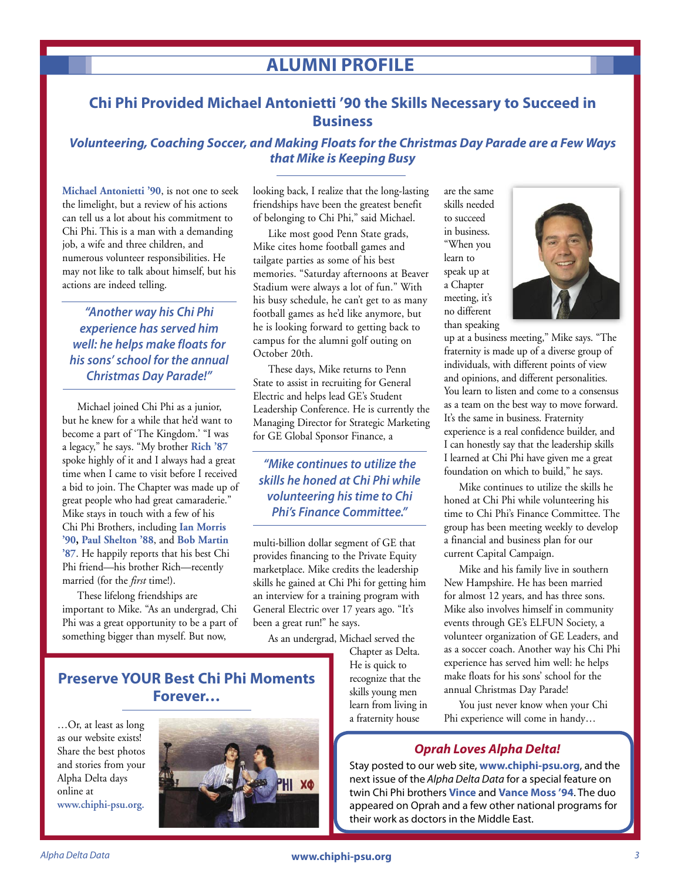## **ALUMNI PROFILE**

## **Chi Phi Provided Michael Antonietti '90 the Skills Necessary to Succeed in Business**

### **Volunteering, Coaching Soccer, and Making Floats for the Christmas Day Parade are a Few Ways that Mike is Keeping Busy**

**Michael Antonietti '90**, is not one to seek the limelight, but a review of his actions can tell us a lot about his commitment to Chi Phi. This is a man with a demanding job, a wife and three children, and numerous volunteer responsibilities. He may not like to talk about himself, but his actions are indeed telling.

**"Another way his Chi Phi experience has served him well: he helps make floats for his sons' school for the annual Christmas Day Parade!"**

 Michael joined Chi Phi as a junior, but he knew for a while that he'd want to become a part of 'The Kingdom.' "I was a legacy," he says. "My brother **Rich '87** spoke highly of it and I always had a great time when I came to visit before I received a bid to join. The Chapter was made up of great people who had great camaraderie." Mike stays in touch with a few of his Chi Phi Brothers, including **Ian Morris '90, Paul Shelton '88**, and **Bob Martin '87**. He happily reports that his best Chi Phi friend—his brother Rich—recently married (for the *first* time!).

 These lifelong friendships are important to Mike. "As an undergrad, Chi Phi was a great opportunity to be a part of something bigger than myself. But now,

looking back, I realize that the long-lasting friendships have been the greatest benefit of belonging to Chi Phi," said Michael.

 Like most good Penn State grads, Mike cites home football games and tailgate parties as some of his best memories. "Saturday afternoons at Beaver Stadium were always a lot of fun." With his busy schedule, he can't get to as many football games as he'd like anymore, but he is looking forward to getting back to campus for the alumni golf outing on October 20th.

 These days, Mike returns to Penn State to assist in recruiting for General Electric and helps lead GE's Student Leadership Conference. He is currently the Managing Director for Strategic Marketing for GE Global Sponsor Finance, a

**"Mike continues to utilize the skills he honed at Chi Phi while volunteering his time to Chi Phi's Finance Committee."**

multi-billion dollar segment of GE that provides financing to the Private Equity marketplace. Mike credits the leadership skills he gained at Chi Phi for getting him an interview for a training program with General Electric over 17 years ago. "It's been a great run!" he says.

As an undergrad, Michael served the

Chapter as Delta. He is quick to recognize that the skills young men learn from living in a fraternity house

are the same skills needed to succeed in business. "When you learn to speak up at a Chapter meeting, it's no different than speaking



up at a business meeting," Mike says. "The fraternity is made up of a diverse group of individuals, with different points of view and opinions, and different personalities. You learn to listen and come to a consensus as a team on the best way to move forward. It's the same in business. Fraternity experience is a real confidence builder, and I can honestly say that the leadership skills I learned at Chi Phi have given me a great foundation on which to build," he says.

 Mike continues to utilize the skills he honed at Chi Phi while volunteering his time to Chi Phi's Finance Committee. The group has been meeting weekly to develop a financial and business plan for our current Capital Campaign.

 Mike and his family live in southern New Hampshire. He has been married for almost 12 years, and has three sons. Mike also involves himself in community events through GE's ELFUN Society, a volunteer organization of GE Leaders, and as a soccer coach. Another way his Chi Phi experience has served him well: he helps make floats for his sons' school for the annual Christmas Day Parade!

 You just never know when your Chi Phi experience will come in handy…

### **Oprah Loves Alpha Delta!**

Stay posted to our web site, **www.chiphi-psu.org**, and the next issue of the Alpha Delta Data for a special feature on twin Chi Phi brothers **Vince** and **Vance Moss '94**. The duo appeared on Oprah and a few other national programs for their work as doctors in the Middle East.

## **Preserve YOUR Best Chi Phi Moments Forever…**

…Or, at least as long as our website exists! Share the best photos and stories from your Alpha Delta days online at **www.chiphi-psu.org.**